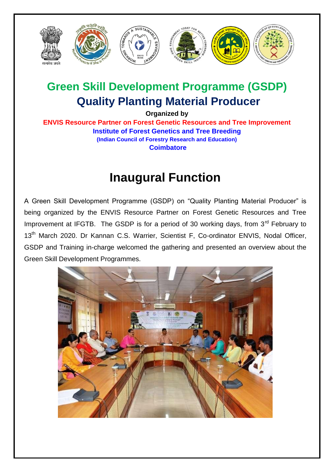

## **Green Skill Development Programme (GSDP) Quality Planting Material Producer**

**Organized by**

**ENVIS Resource Partner on Forest Genetic Resources and Tree Improvement Institute of Forest Genetics and Tree Breeding (Indian Council of Forestry Research and Education) Coimbatore**

## **Inaugural Function**

A Green Skill Development Programme (GSDP) on "Quality Planting Material Producer" is being organized by the ENVIS Resource Partner on Forest Genetic Resources and Tree Improvement at IFGTB. The GSDP is for a period of 30 working days, from  $3<sup>rd</sup>$  February to 13<sup>th</sup> March 2020. Dr Kannan C.S. Warrier, Scientist F, Co-ordinator ENVIS, Nodal Officer, GSDP and Training in-charge welcomed the gathering and presented an overview about the Green Skill Development Programmes.

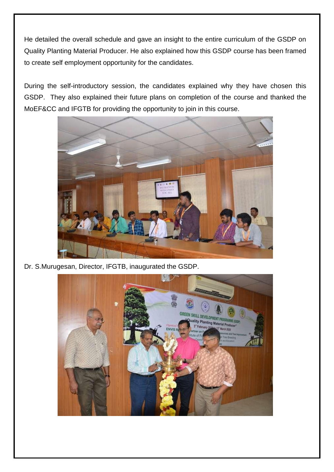He detailed the overall schedule and gave an insight to the entire curriculum of the GSDP on Quality Planting Material Producer. He also explained how this GSDP course has been framed to create self employment opportunity for the candidates.

During the self-introductory session, the candidates explained why they have chosen this GSDP. They also explained their future plans on completion of the course and thanked the MoEF&CC and IFGTB for providing the opportunity to join in this course.



Dr. S.Murugesan, Director, IFGTB, inaugurated the GSDP.

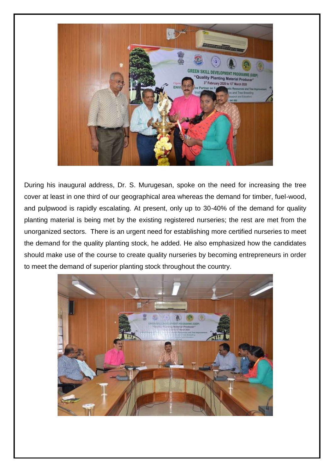

During his inaugural address, Dr. S. Murugesan, spoke on the need for increasing the tree cover at least in one third of our geographical area whereas the demand for timber, fuel-wood, and pulpwood is rapidly escalating. At present, only up to 30-40% of the demand for quality planting material is being met by the existing registered nurseries; the rest are met from the unorganized sectors. There is an urgent need for establishing more certified nurseries to meet the demand for the quality planting stock, he added. He also emphasized how the candidates should make use of the course to create quality nurseries by becoming entrepreneurs in order to meet the demand of superior planting stock throughout the country.